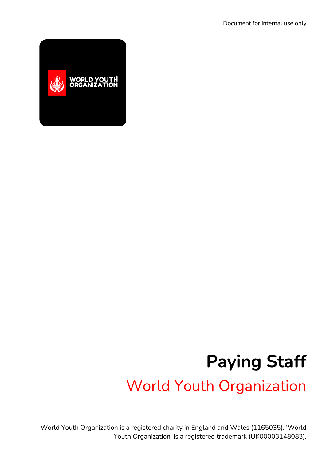

## **Paying Staff** World Youth Organization

World Youth Organization is a registered charity in England and Wales (1165035). 'World Youth Organization' is a registered trademark (UK00003148083).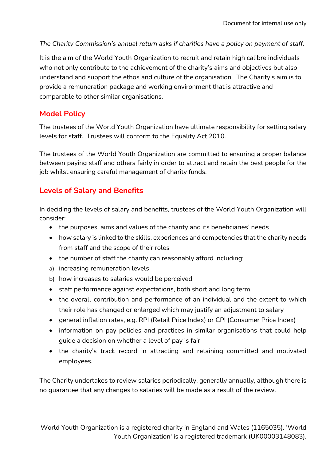*The Charity Commission's annual return asks if charities have a policy on payment of staff.*

It is the aim of the World Youth Organization to recruit and retain high calibre individuals who not only contribute to the achievement of the charity's aims and objectives but also understand and support the ethos and culture of the organisation. The Charity's aim is to provide a remuneration package and working environment that is attractive and comparable to other similar organisations.

## **Model Policy**

The trustees of the World Youth Organization have ultimate responsibility for setting salary levels for staff. Trustees will conform to the Equality Act 2010.

The trustees of the World Youth Organization are committed to ensuring a proper balance between paying staff and others fairly in order to attract and retain the best people for the job whilst ensuring careful management of charity funds.

## **Levels of Salary and Benefits**

In deciding the levels of salary and benefits, trustees of the World Youth Organization will consider:

- the purposes, aims and values of the charity and its beneficiaries' needs
- how salary is linked to the skills, experiences and competencies that the charity needs from staff and the scope of their roles
- the number of staff the charity can reasonably afford including:
- a) increasing remuneration levels
- b) how increases to salaries would be perceived
- staff performance against expectations, both short and long term
- the overall contribution and performance of an individual and the extent to which their role has changed or enlarged which may justify an adjustment to salary
- general inflation rates, e.g. RPI (Retail Price Index) or CPI (Consumer Price Index)
- information on pay policies and practices in similar organisations that could help guide a decision on whether a level of pay is fair
- the charity's track record in attracting and retaining committed and motivated employees.

The Charity undertakes to review salaries periodically, generally annually, although there is no guarantee that any changes to salaries will be made as a result of the review.